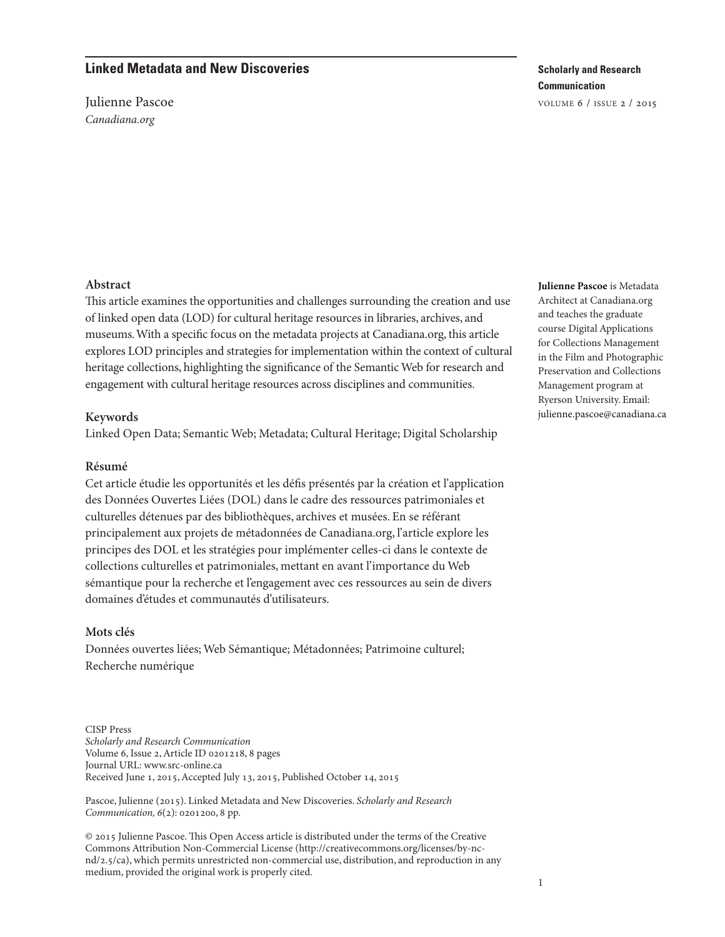# **Linked Metadata and New Discoveries**

Julienne Pascoe Canadiana.org

# **Scholarly and Research Communication**

volume 6 / issue 2 / 2015

### **Abstract**

This article examines the opportunities and challenges surrounding the creation and use of linked open data (LOD) for cultural heritage resources in libraries, archives, and museums.With a specific focus on the metadata projects at Canadiana.org, this article explores LOD principles and strategies for implementation within the context of cultural heritage collections, highlighting the significance of the Semantic Web for research and engagement with cultural heritage resources across disciplines and communities.

### **Keywords**

Linked Open Data; Semantic Web; Metadata; Cultural Heritage; Digital Scholarship

### **Résumé**

Cet article étudie les opportunités et les défis présentés par la création et l'application des Données Ouvertes Liées (DOL) dans le cadre des ressources patrimoniales et culturelles détenues par des bibliothèques, archives et musées. En se référant principalement aux projets de métadonnées de Canadiana.org, l'article explore les principes des DOL et les stratégies pour implémenter celles-ci dans le contexte de collections culturelles et patrimoniales, mettant en avant l'importance du Web sémantique pour la recherche et l'engagement avec ces ressources au sein de divers domaines d'études et communautés d'utilisateurs.

### **Mots clés**

Données ouvertes liées; Web Sémantique; Métadonnées; Patrimoine culturel; Recherche numérique

CISP Press Scholarly and Research Communication Volume 6, Issue 2,Article ID 0201218, 8 pages Journal URL: [www.src-online.ca](http://www.src-online.ca) Received June 1, 2015, Accepted July 13, 2015, Published October 14, 2015

Pascoe, Julienne (2015). Linked Metadata and New Discoveries. Scholarly and Research Communication, 6(2): 0201200, 8 pp.

 $© 2015$  Julienne Pascoe. This Open Access article is distributed under the terms of the Creative Commons Attribution Non-Commercial License [\(http://creativecommons.org/licenses/by-nc](http://creativecommons.org/licenses/by-nc-nd/2.5/ca)[nd/2.5/ca\)](http://creativecommons.org/licenses/by-nc-nd/2.5/ca), which permits unrestricted non-commercial use, distribution, and reproduction in any medium, provided the original work is properly cited.

**Julienne Pascoe** is Metadata Architect at Canadiana.org and teaches the graduate course Digital Applications for Collections Management in the Film and Photographic Preservation and Collections Management program at Ryerson University. Email: [julienne.pascoe@canadiana.ca](mailto:julienne.pascoe@canadiana.ca)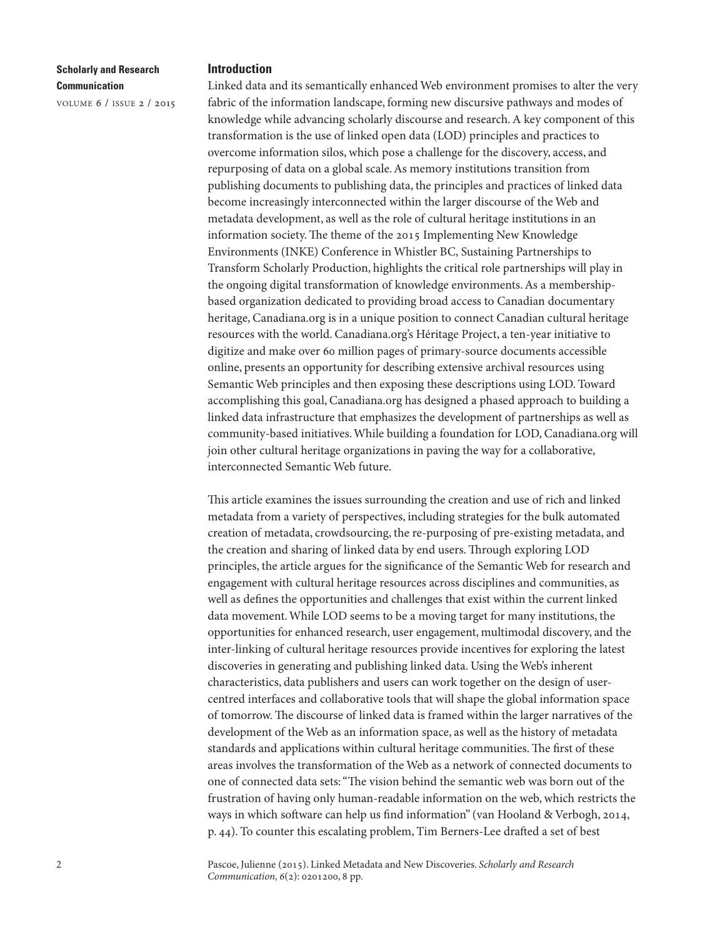volume 6 / issue 2 / 2015

#### **Introduction**

Linked data and its semantically enhanced Web environment promises to alter the very fabric of the information landscape, forming new discursive pathways and modes of knowledge while advancing scholarly discourse and research.A key component of this transformation is the use of linked open data (LOD) principles and practices to overcome information silos, which pose a challenge for the discovery, access, and repurposing of data on a global scale. As memory institutions transition from publishing documents to publishing data, the principles and practices of linked data become increasingly interconnected within the larger discourse of the Web and metadata development, as well as the role of cultural heritage institutions in an information society. The theme of the 2015 Implementing New Knowledge Environments (INKE) Conference in Whistler BC, Sustaining Partnerships to Transform Scholarly Production, highlights the critical role partnerships will play in the ongoing digital transformation of knowledge environments.As a membershipbased organization dedicated to providing broad access to Canadian documentary heritage, Canadiana.org is in a unique position to connect Canadian cultural heritage resources with the world. Canadiana.org's Héritage Project, a ten-year initiative to digitize and make over 60 million pages of primary-source documents accessible online, presents an opportunity for describing extensive archival resources using Semantic Web principles and then exposing these descriptions using LOD. Toward accomplishing this goal, Canadiana.org has designed a phased approach to building a linked data infrastructure that emphasizes the development of partnerships as well as community-based initiatives.While building a foundation for LOD, Canadiana.org will join other cultural heritage organizations in paving the way for a collaborative, interconnected Semantic Web future.

This article examines the issues surrounding the creation and use of rich and linked metadata from a variety of perspectives, including strategies for the bulk automated creation of metadata, crowdsourcing, the re-purposing of pre-existing metadata, and the creation and sharing of linked data by end users. Through exploring LOD principles, the article argues for the significance of the Semantic Web for research and engagement with cultural heritage resources across disciplines and communities, as well as defines the opportunities and challenges that exist within the current linked data movement.While LOD seems to be a moving target for many institutions, the opportunities for enhanced research, user engagement, multimodal discovery, and the inter-linking of cultural heritage resources provide incentives for exploring the latest discoveries in generating and publishing linked data. Using the Web's inherent characteristics, data publishers and users can work together on the design of usercentred interfaces and collaborative tools that will shape the global information space of tomorrow. The discourse of linked data is framed within the larger narratives of the development of the Web as an information space, as well as the history of metadata standards and applications within cultural heritage communities. The first of these areas involves the transformation of the Web as a network of connected documents to one of connected data sets: "The vision behind the semantic web was born out of the frustration of having only human-readable information on the web, which restricts the ways in which software can help us find information" (van Hooland & Verbogh, 2014, p. 44). To counter this escalating problem, Tim Berners-Lee drafted a set of best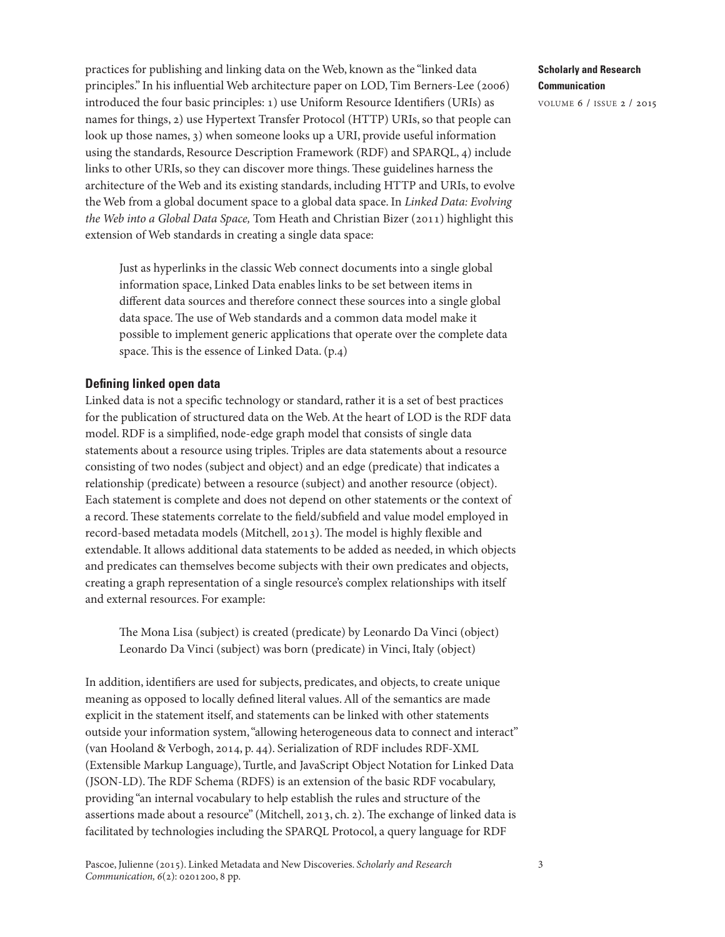practices for publishing and linking data on the Web, known as the "linked data principles." In his influential Web architecture paper on LOD, Tim Berners-Lee (2006) introduced the four basic principles: 1) use Uniform Resource Identifiers (URIs) as names for things, 2) use Hypertext Transfer Protocol (HTTP) URIs, so that people can look up those names, 3) when someone looks up a URI, provide useful information using the standards, Resource Description Framework (RDF) and SPARQL, 4) include links to other URIs, so they can discover more things. These guidelines harness the architecture of the Web and its existing standards, including HTTP and URIs, to evolve the Web from a global document space to a global data space. In Linked Data: Evolving the Web into a Global Data Space, Tom Heath and Christian Bizer (2011) highlight this extension of Web standards in creating a single data space:

Just as hyperlinks in the classic Web connect documents into a single global information space, Linked Data enables links to be set between items in different data sources and therefore connect these sources into a single global data space. The use of Web standards and a common data model make it possible to implement generic applications that operate over the complete data space. This is the essence of Linked Data. (p.4)

### **Defining linked open data**

Linked data is not a specific technology or standard, rather it is a set of best practices for the publication of structured data on the Web.At the heart of LOD is the RDF data model. RDF is a simplified, node-edge graph model that consists of single data statements about a resource using triples. Triples are data statements about a resource consisting of two nodes (subject and object) and an edge (predicate) that indicates a relationship (predicate) between a resource (subject) and another resource (object). Each statement is complete and does not depend on other statements or the context of a record. These statements correlate to the field/subfield and value model employed in record-based metadata models (Mitchell, 2013). The model is highly flexible and extendable. It allows additional data statements to be added as needed, in which objects and predicates can themselves become subjects with their own predicates and objects, creating a graph representation of a single resource's complex relationships with itself and external resources. For example:

The Mona Lisa (subject) is created (predicate) by Leonardo Da Vinci (object) Leonardo Da Vinci (subject) was born (predicate) in Vinci, Italy (object)

In addition, identifiers are used for subjects, predicates, and objects, to create unique meaning as opposed to locally defined literal values.All of the semantics are made explicit in the statement itself, and statements can be linked with other statements outside your information system,"allowing heterogeneous data to connect and interact" (van Hooland & Verbogh, 2014, p. 44). Serialization of RDF includes RDF-XML (Extensible Markup Language), Turtle, and JavaScript Object Notation for Linked Data (JSON-LD). The RDF Schema (RDFS) is an extension of the basic RDF vocabulary, providing "an internal vocabulary to help establish the rules and structure of the assertions made about a resource" (Mitchell, 2013, ch. 2). The exchange of linked data is facilitated by technologies including the SPARQL Protocol, a query language for RDF

## **Scholarly and Research Communication**

volume 6 / issue 2 / 2015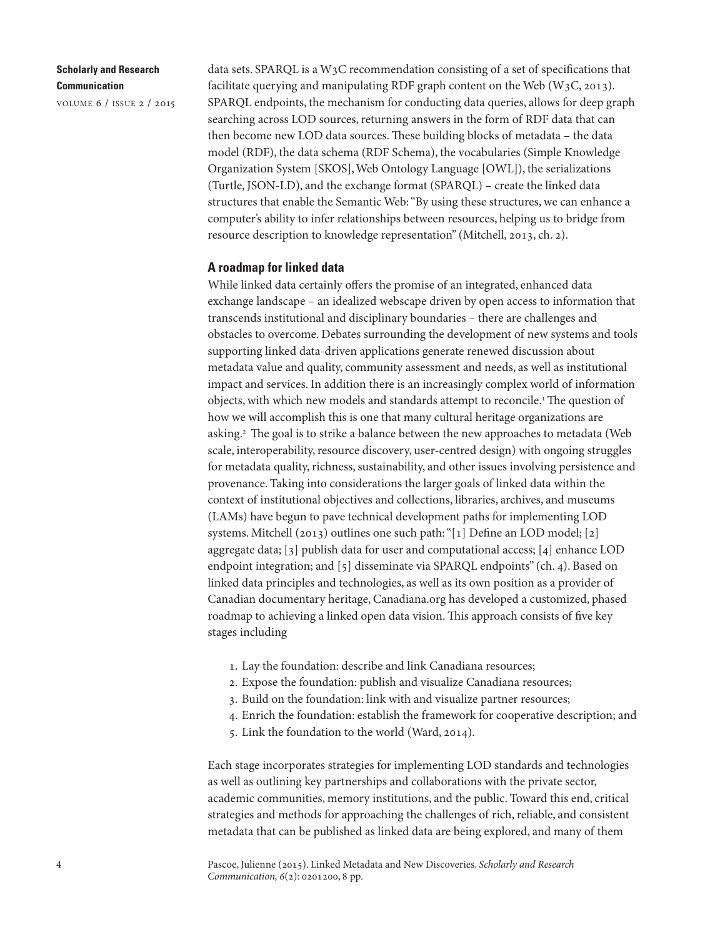volume 6 / issue 2 / 2015

data sets. SPARQL is a W3C recommendation consisting of a set of specifications that facilitate querying and manipulating RDF graph content on the Web  $(W<sub>3</sub>C, 2013)$ . SPARQL endpoints, the mechanism for conducting data queries, allows for deep graph searching across LOD sources, returning answers in the form of RDF data that can then become new LOD data sources. These building blocks of metadata – the data model (RDF), the data schema (RDF Schema), the vocabularies (Simple Knowledge Organization System [SKOS],Web Ontology Language [OWL]), the serializations (Turtle, JSON-LD), and the exchange format (SPARQL) – create the linked data structures that enable the Semantic Web:"By using these structures, we can enhance a computer's ability to infer relationships between resources, helping us to bridge from resource description to knowledge representation" (Mitchell, 2013, ch. 2).

#### **A roadmap for linked data**

While linked data certainly offers the promise of an integrated, enhanced data exchange landscape – an idealized webscape driven by open access to information that transcends institutional and disciplinary boundaries – there are challenges and obstacles to overcome. Debates surrounding the development of new systems and tools supporting linked data-driven applications generate renewed discussion about metadata value and quality, community assessment and needs, as well as institutional impact and services. In addition there is an increasingly complex world of information objects, with which new models and standards attempt to reconcile.<sup>[1](#page-6-1)</sup> The question of how we will accomplish this is one that many cultural heritage organizations are asking.<sup>[2](#page-6-0)</sup> The goal is to strike a balance between the new approaches to metadata (Web scale, interoperability, resource discovery, user-centred design) with ongoing struggles for metadata quality, richness, sustainability, and other issues involving persistence and provenance. Taking into considerations the larger goals of linked data within the context of institutional objectives and collections, libraries, archives, and museums (LAMs) have begun to pave technical development paths for implementing LOD systems. Mitchell (2013) outlines one such path: "[1] Define an LOD model; [2] aggregate data; [3] publish data for user and computational access; [4] enhance LOD endpoint integration; and [5] disseminate via SPARQL endpoints" (ch. 4). Based on linked data principles and technologies, as well as its own position as a provider of Canadian documentary heritage, Canadiana.org has developed a customized, phased roadmap to achieving a linked open data vision. This approach consists of five key stages including

- 1. Lay the foundation: describe and link Canadiana resources;
- 2. Expose the foundation: publish and visualize Canadiana resources;
- 3. Build on the foundation: link with and visualize partner resources;
- 4. Enrich the foundation: establish the framework for cooperative description; and
- 5. Link the foundation to the world (Ward, 2014).

Each stage incorporates strategies for implementing LOD standards and technologies as well as outlining key partnerships and collaborations with the private sector, academic communities, memory institutions, and the public. Toward this end, critical strategies and methods for approaching the challenges of rich, reliable, and consistent metadata that can be published as linked data are being explored, and many of them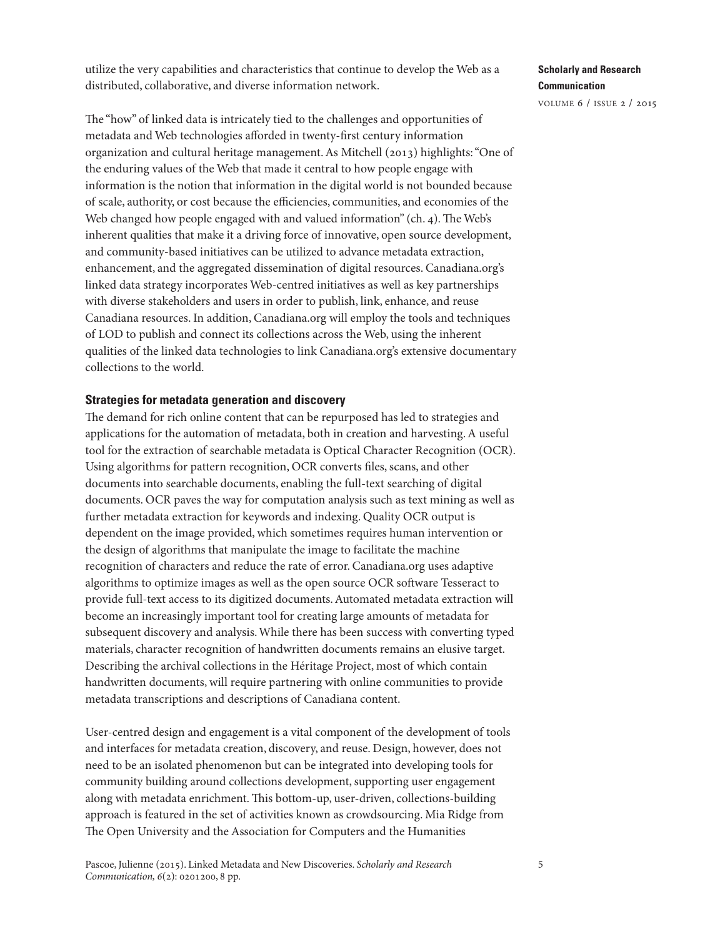utilize the very capabilities and characteristics that continue to develop the Web as a distributed, collaborative, and diverse information network.

The "how" of linked data is intricately tied to the challenges and opportunities of metadata and Web technologies afforded in twenty-first century information organization and cultural heritage management.As Mitchell (2013) highlights:"One of the enduring values of the Web that made it central to how people engage with information is the notion that information in the digital world is not bounded because of scale, authority, or cost because the efficiencies, communities, and economies of the Web changed how people engaged with and valued information" (ch.  $4$ ). The Web's inherent qualities that make it a driving force of innovative, open source development, and community-based initiatives can be utilized to advance metadata extraction, enhancement, and the aggregated dissemination of digital resources. Canadiana.org's linked data strategy incorporates Web-centred initiatives as well as key partnerships with diverse stakeholders and users in order to publish, link, enhance, and reuse Canadiana resources. In addition, Canadiana.org will employ the tools and techniques of LOD to publish and connect its collections across the Web, using the inherent qualities of the linked data technologies to link Canadiana.org's extensive documentary collections to the world.

### **Strategies for metadata generation and discovery**

The demand for rich online content that can be repurposed has led to strategies and applications for the automation of metadata, both in creation and harvesting.A useful tool for the extraction of searchable metadata is Optical Character Recognition (OCR). Using algorithms for pattern recognition, OCR converts files, scans, and other documents into searchable documents, enabling the full-text searching of digital documents. OCR paves the way for computation analysis such as text mining as well as further metadata extraction for keywords and indexing. Quality OCR output is dependent on the image provided, which sometimes requires human intervention or the design of algorithms that manipulate the image to facilitate the machine recognition of characters and reduce the rate of error. Canadiana.org uses adaptive algorithms to optimize images as well as the open source OCR software Tesseract to provide full-text access to its digitized documents.Automated metadata extraction will become an increasingly important tool for creating large amounts of metadata for subsequent discovery and analysis.While there has been success with converting typed materials, character recognition of handwritten documents remains an elusive target. Describing the archival collections in the Héritage Project, most of which contain handwritten documents, will require partnering with online communities to provide metadata transcriptions and descriptions of Canadiana content.

User-centred design and engagement is a vital component of the development of tools and interfaces for metadata creation, discovery, and reuse. Design, however, does not need to be an isolated phenomenon but can be integrated into developing tools for community building around collections development, supporting user engagement along with metadata enrichment. This bottom-up, user-driven, collections-building approach is featured in the set of activities known as crowdsourcing. Mia Ridge from The Open University and the Association for Computers and the Humanities

# **Scholarly and Research Communication**

volume 6 / issue 2 / 2015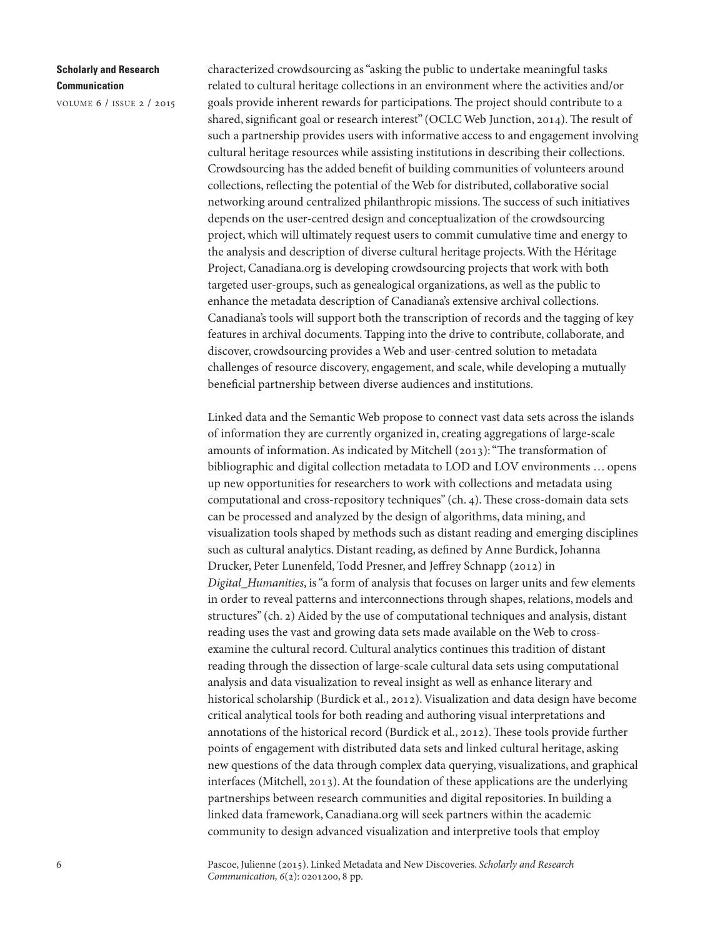volume 6 / issue 2 / 2015

characterized crowdsourcing as"asking the public to undertake meaningful tasks related to cultural heritage collections in an environment where the activities and/or goals provide inherent rewards for participations. The project should contribute to a shared, significant goal or research interest" (OCLC Web Junction, 2014). The result of such a partnership provides users with informative access to and engagement involving cultural heritage resources while assisting institutions in describing their collections. Crowdsourcing has the added benefit of building communities of volunteers around collections, reflecting the potential of the Web for distributed, collaborative social networking around centralized philanthropic missions. The success of such initiatives depends on the user-centred design and conceptualization of the crowdsourcing project, which will ultimately request users to commit cumulative time and energy to the analysis and description of diverse cultural heritage projects.With the Héritage Project, Canadiana.org is developing crowdsourcing projects that work with both targeted user-groups, such as genealogical organizations, as well as the public to enhance the metadata description of Canadiana's extensive archival collections. Canadiana's tools will support both the transcription of records and the tagging of key features in archival documents. Tapping into the drive to contribute, collaborate, and discover, crowdsourcing provides a Web and user-centred solution to metadata challenges of resource discovery, engagement, and scale, while developing a mutually beneficial partnership between diverse audiences and institutions.

Linked data and the Semantic Web propose to connect vast data sets across the islands of information they are currently organized in, creating aggregations of large-scale amounts of information. As indicated by Mitchell (2013): "The transformation of bibliographic and digital collection metadata to LOD and LOV environments … opens up new opportunities for researchers to work with collections and metadata using computational and cross-repository techniques" (ch. 4). These cross-domain data sets can be processed and analyzed by the design of algorithms, data mining, and visualization tools shaped by methods such as distant reading and emerging disciplines such as cultural analytics. Distant reading, as defined by Anne Burdick, Johanna Drucker, Peter Lunenfeld, Todd Presner, and Jeffrey Schnapp (2012) in Digital\_Humanities, is"a form of analysis that focuses on larger units and few elements in order to reveal patterns and interconnections through shapes, relations, models and structures" (ch. 2) Aided by the use of computational techniques and analysis, distant reading uses the vast and growing data sets made available on the Web to crossexamine the cultural record. Cultural analytics continues this tradition of distant reading through the dissection of large-scale cultural data sets using computational analysis and data visualization to reveal insight as well as enhance literary and historical scholarship (Burdick et al., 2012). Visualization and data design have become critical analytical tools for both reading and authoring visual interpretations and annotations of the historical record (Burdick et al., 2012). These tools provide further points of engagement with distributed data sets and linked cultural heritage, asking new questions of the data through complex data querying, visualizations, and graphical interfaces (Mitchell, 2013). At the foundation of these applications are the underlying partnerships between research communities and digital repositories. In building a linked data framework, Canadiana.org will seek partners within the academic community to design advanced visualization and interpretive tools that employ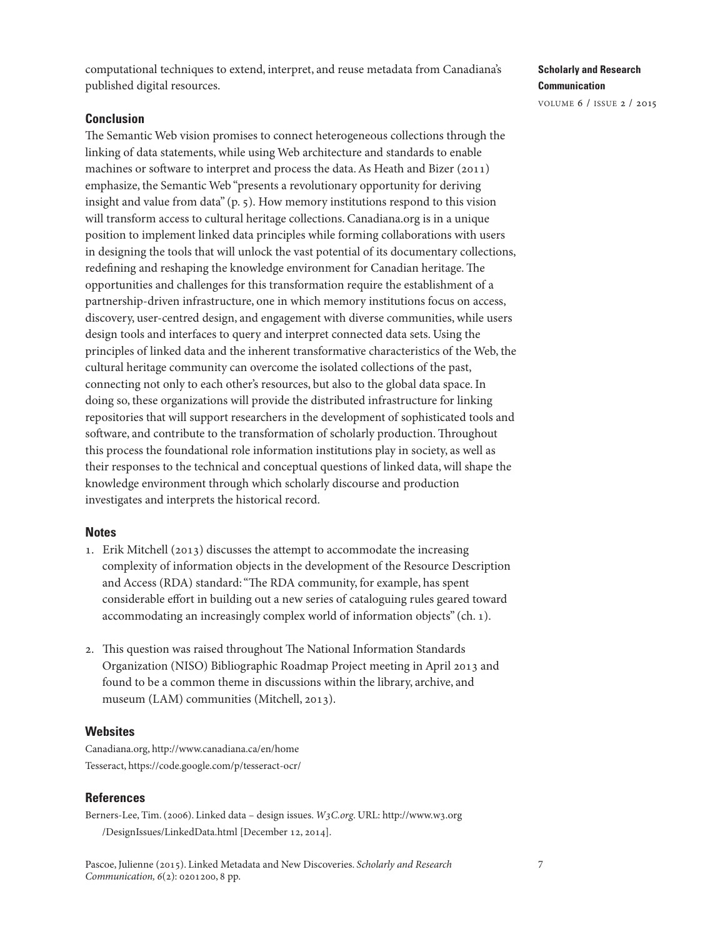computational techniques to extend, interpret, and reuse metadata from Canadiana's published digital resources.

### **Conclusion**

The Semantic Web vision promises to connect heterogeneous collections through the linking of data statements, while using Web architecture and standards to enable machines or software to interpret and process the data. As Heath and Bizer (2011) emphasize, the Semantic Web "presents a revolutionary opportunity for deriving insight and value from data" (p. 5). How memory institutions respond to this vision will transform access to cultural heritage collections. Canadiana.org is in a unique position to implement linked data principles while forming collaborations with users in designing the tools that will unlock the vast potential of its documentary collections, redefining and reshaping the knowledge environment for Canadian heritage. The opportunities and challenges for this transformation require the establishment of a partnership-driven infrastructure, one in which memory institutions focus on access, discovery, user-centred design, and engagement with diverse communities, while users design tools and interfaces to query and interpret connected data sets. Using the principles of linked data and the inherent transformative characteristics of the Web, the cultural heritage community can overcome the isolated collections of the past, connecting not only to each other's resources, but also to the global data space. In doing so, these organizations will provide the distributed infrastructure for linking repositories that will support researchers in the development of sophisticated tools and software, and contribute to the transformation of scholarly production. Throughout this process the foundational role information institutions play in society, as well as their responses to the technical and conceptual questions of linked data, will shape the knowledge environment through which scholarly discourse and production investigates and interprets the historical record.

### **Notes**

- 1. Erik Mitchell (2013) discusses the attempt to accommodate the increasing complexity of information objects in the development of the Resource Description and Access (RDA) standard: "The RDA community, for example, has spent considerable effort in building out a new series of cataloguing rules geared toward accommodating an increasingly complex world of information objects" (ch. 1).
- 2. This question was raised throughout The National Information Standards Organization (NISO) Bibliographic Roadmap Project meeting in April 2013 and found to be a common theme in discussions within the library, archive, and museum (LAM) communities (Mitchell, 2013).

### **Websites**

Canadiana.org, <http://www.canadiana.ca/en/home> Tesseract, <https://code.google.com/p/tesseract-ocr/>

#### **References**

Berners-Lee, Tim. (2006). Linked data – design issues. W3C.org. URL: [http://www.w3.org](http://www.w3.org/DesignIssues/LinkedData.html) [/DesignIssues/LinkedData.html](http://www.w3.org/DesignIssues/LinkedData.html) [December 12, 2014].

**Scholarly and Research Communication**

<span id="page-6-1"></span><span id="page-6-0"></span>volume 6 / issue 2 / 2015